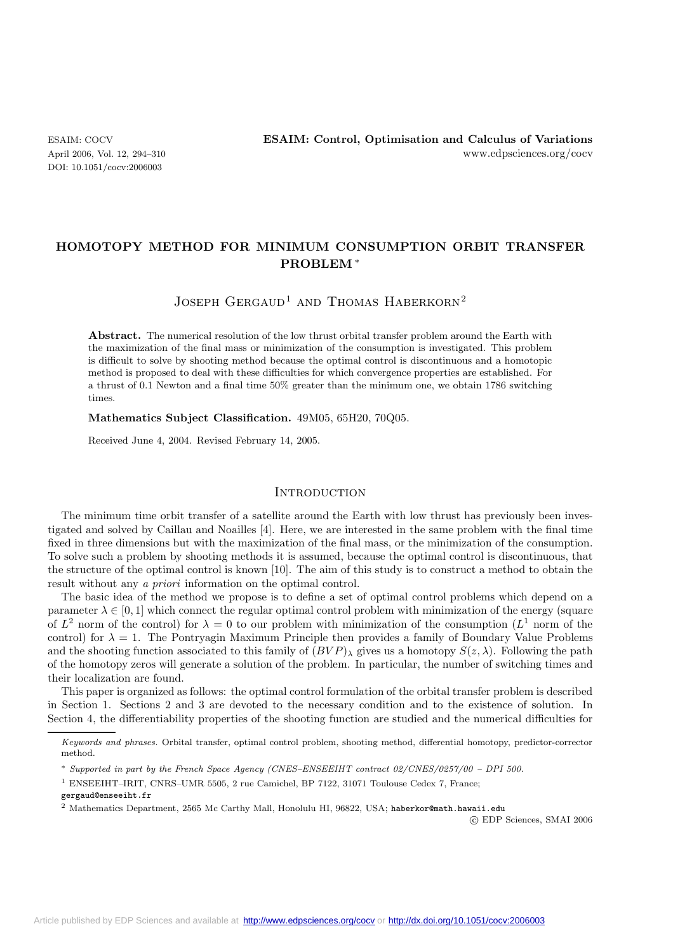DOI: 10.1051/cocv:2006003

# **HOMOTOPY METHOD FOR MINIMUM CONSUMPTION ORBIT TRANSFER PROBLEM** ∗

## JOSEPH GERGAUD<sup>1</sup> AND THOMAS HABERKORN<sup>2</sup>

**Abstract.** The numerical resolution of the low thrust orbital transfer problem around the Earth with the maximization of the final mass or minimization of the consumption is investigated. This problem is difficult to solve by shooting method because the optimal control is discontinuous and a homotopic method is proposed to deal with these difficulties for which convergence properties are established. For a thrust of 0.1 Newton and a final time 50% greater than the minimum one, we obtain 1786 switching times.

**Mathematics Subject Classification.** 49M05, 65H20, 70Q05.

Received June 4, 2004. Revised February 14, 2005.

## **INTRODUCTION**

The minimum time orbit transfer of a satellite around the Earth with low thrust has previously been investigated and solved by Caillau and Noailles [4]. Here, we are interested in the same problem with the final time fixed in three dimensions but with the maximization of the final mass, or the minimization of the consumption. To solve such a problem by shooting methods it is assumed, because the optimal control is discontinuous, that the structure of the optimal control is known [10]. The aim of this study is to construct a method to obtain the result without any *a priori* information on the optimal control.

The basic idea of the method we propose is to define a set of optimal control problems which depend on a parameter  $\lambda \in [0, 1]$  which connect the regular optimal control problem with minimization of the energy (square of  $L^2$  norm of the control) for  $\lambda = 0$  to our problem with minimization of the consumption  $(L^1$  norm of the control) for  $\lambda = 1$ . The Pontryagin Maximum Principle then provides a family of Boundary Value Problems and the shooting function associated to this family of  $(BVP)_{\lambda}$  gives us a homotopy  $S(z,\lambda)$ . Following the path of the homotopy zeros will generate a solution of the problem. In particular, the number of switching times and their localization are found.

This paper is organized as follows: the optimal control formulation of the orbital transfer problem is described in Section 1. Sections 2 and 3 are devoted to the necessary condition and to the existence of solution. In Section 4, the differentiability properties of the shooting function are studied and the numerical difficulties for

gergaud@enseeiht.fr

-c EDP Sciences, SMAI 2006

Keywords and phrases. Orbital transfer, optimal control problem, shooting method, differential homotopy, predictor-corrector method.

<sup>∗</sup> Supported in part by the French Space Agency (CNES–ENSEEIHT contract 02/CNES/0257/00 – DPI 500.

<sup>1</sup> ENSEEIHT–IRIT, CNRS–UMR 5505, 2 rue Camichel, BP 7122, 31071 Toulouse Cedex 7, France;

<sup>2</sup> Mathematics Department, 2565 Mc Carthy Mall, Honolulu HI, 96822, USA; haberkor@math.hawaii.edu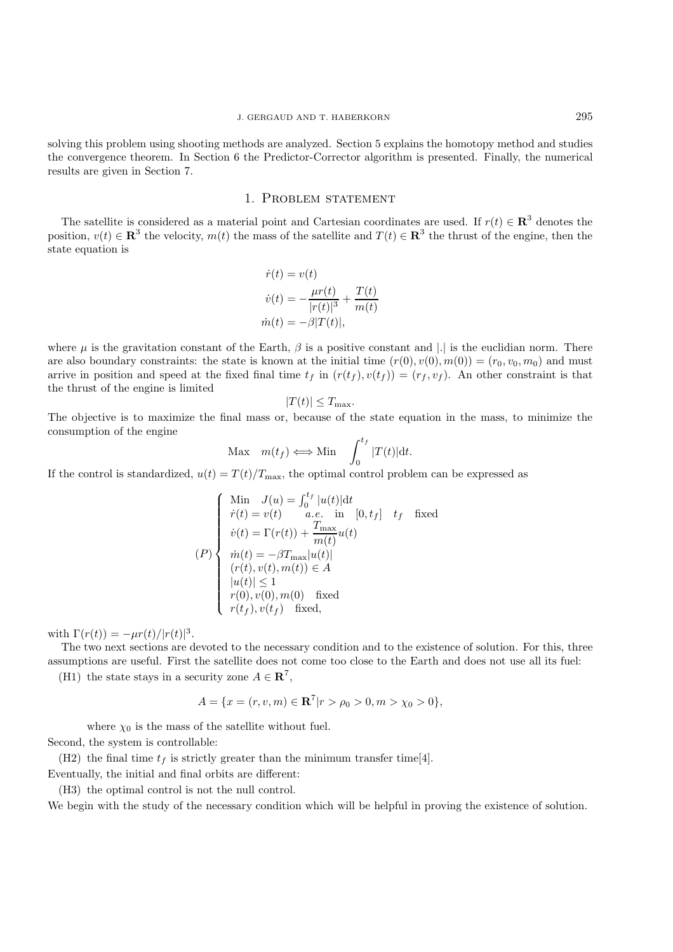solving this problem using shooting methods are analyzed. Section 5 explains the homotopy method and studies the convergence theorem. In Section 6 the Predictor-Corrector algorithm is presented. Finally, the numerical results are given in Section 7.

## 1. Problem statement

The satellite is considered as a material point and Cartesian coordinates are used. If  $r(t) \in \mathbb{R}^3$  denotes the position,  $v(t) \in \mathbb{R}^3$  the velocity,  $m(t)$  the mass of the satellite and  $T(t) \in \mathbb{R}^3$  the thrust of the engine, then the state equation is

$$
\dot{r}(t) = v(t)
$$

$$
\dot{v}(t) = -\frac{\mu r(t)}{|r(t)|^3} + \frac{T(t)}{m(t)}
$$

$$
\dot{m}(t) = -\beta |T(t)|,
$$

where  $\mu$  is the gravitation constant of the Earth,  $\beta$  is a positive constant and |.| is the euclidian norm. There are also boundary constraints: the state is known at the initial time  $(r(0), v(0), m(0)) = (r_0, v_0, m_0)$  and must arrive in position and speed at the fixed final time  $t_f$  in  $(r(t_f), v(t_f)) = (r_f, v_f)$ . An other constraint is that the thrust of the engine is limited

$$
|T(t)| \le T_{\text{max}}.
$$

The objective is to maximize the final mass or, because of the state equation in the mass, to minimize the consumption of the engine

$$
\text{Max } m(t_f) \Longleftrightarrow \text{Min } \int_0^{t_f} |T(t)| \, \mathrm{d}t.
$$

If the control is standardized,  $u(t) = T(t)/T_{\text{max}}$ , the optimal control problem can be expressed as

$$
(P)
$$
\n
$$
\begin{cases}\n\text{Min } J(u) = \int_0^{t_f} |u(t)| dt \\
\dot{r}(t) = v(t) \quad a.e. \text{ in } [0, t_f] \quad t_f \quad \text{fixed} \\
\dot{v}(t) = \Gamma(r(t)) + \frac{T_{\text{max}}}{m(t)} u(t) \\
\dot{m}(t) = -\beta T_{\text{max}} |u(t)| \\
(r(t), v(t), m(t)) \in A \\
|u(t)| \le 1 \\
r(0), v(0), m(0) \quad \text{fixed} \\
r(t_f), v(t_f) \quad \text{fixed},\n\end{cases}
$$

with  $\Gamma(r(t)) = -\mu r(t)/|r(t)|^3$ .

The two next sections are devoted to the necessary condition and to the existence of solution. For this, three assumptions are useful. First the satellite does not come too close to the Earth and does not use all its fuel:

(H1) the state stays in a security zone  $A \in \mathbb{R}^7$ ,

$$
A = \{x = (r, v, m) \in \mathbf{R}^7 | r > \rho_0 > 0, m > \chi_0 > 0\},\
$$

where  $\chi_0$  is the mass of the satellite without fuel.

Second, the system is controllable:

(H2) the final time  $t_f$  is strictly greater than the minimum transfer time[4]. Eventually, the initial and final orbits are different:

(H3) the optimal control is not the null control.

We begin with the study of the necessary condition which will be helpful in proving the existence of solution.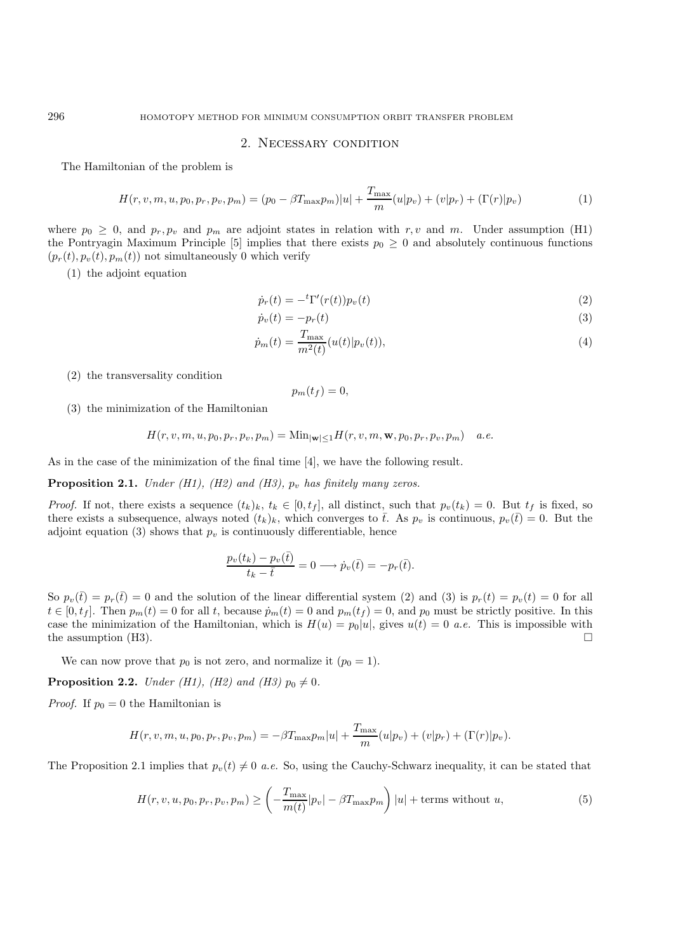#### 2. Necessary condition

The Hamiltonian of the problem is

$$
H(r, v, m, u, p_0, p_r, p_v, p_m) = (p_0 - \beta T_{\max} p_m)|u| + \frac{T_{\max}}{m}(u|p_v) + (v|p_r) + (\Gamma(r)|p_v)
$$
(1)

where  $p_0 \geq 0$ , and  $p_r, p_v$  and  $p_m$  are adjoint states in relation with r, v and m. Under assumption (H1) the Pontryagin Maximum Principle [5] implies that there exists  $p_0 \geq 0$  and absolutely continuous functions  $(p_r(t), p_v(t), p_m(t))$  not simultaneously 0 which verify

(1) the adjoint equation

$$
\dot{p}_r(t) = -\,t \Gamma'(r(t)) p_v(t) \tag{2}
$$

$$
\dot{p}_v(t) = -p_r(t) \tag{3}
$$

$$
\dot{p}_m(t) = \frac{T_{\text{max}}}{m^2(t)} (u(t)|p_v(t)),
$$
\n(4)

(2) the transversality condition

$$
p_m(t_f)=0,
$$

(3) the minimization of the Hamiltonian

$$
H(r,v,m,u,p_0,p_r,p_v,p_m)=\text{Min}_{|\textbf{w}|\leq 1}H(r,v,m,\textbf{w},p_0,p_r,p_v,p_m)\quad a.e.
$$

As in the case of the minimization of the final time [4], we have the following result.

**Proposition 2.1.** *Under (H1), (H2) and (H3),*  $p_v$  *has finitely many zeros.* 

*Proof.* If not, there exists a sequence  $(t_k)_k$ ,  $t_k \in [0, t_f]$ , all distinct, such that  $p_v(t_k) = 0$ . But  $t_f$  is fixed, so there exists a subsequence, always noted  $(t_k)_k$ , which converges to  $\bar{t}$ . As  $p_v$  is continuous,  $p_v(\bar{t}) = 0$ . But the adjoint equation (3) shows that  $p_v$  is continuously differentiable, hence

$$
\frac{p_v(t_k) - p_v(\bar{t})}{t_k - \bar{t}} = 0 \longrightarrow \dot{p}_v(\bar{t}) = -p_r(\bar{t}).
$$

So  $p_v(\bar{t}) = p_r(\bar{t}) = 0$  and the solution of the linear differential system (2) and (3) is  $p_r(t) = p_v(t) = 0$  for all  $t \in [0, t_f]$ . Then  $p_m(t) = 0$  for all t, because  $\dot{p}_m(t) = 0$  and  $p_m(t_f) = 0$ , and  $p_0$  must be strictly positive. In this case the minimization of the Hamiltonian, which is  $H(u) = p_0|u|$ , gives  $u(t) = 0$  *a.e.* This is impossible with the assumption (H3).

We can now prove that  $p_0$  is not zero, and normalize it  $(p_0 = 1)$ .

**Proposition 2.2.** *Under (H1), (H2) and (H3)*  $p_0 \neq 0$ *.* 

*Proof.* If  $p_0 = 0$  the Hamiltonian is

$$
H(r, v, m, u, p_0, p_r, p_v, p_m) = -\beta T_{\max} p_m |u| + \frac{T_{\max}}{m} (u|p_v) + (v|p_r) + (\Gamma(r)|p_v).
$$

The Proposition 2.1 implies that  $p_v(t) \neq 0$  *a.e.* So, using the Cauchy-Schwarz inequality, it can be stated that

$$
H(r, v, u, p_0, p_r, p_v, p_m) \ge \left(-\frac{T_{\text{max}}}{m(t)}|p_v| - \beta T_{\text{max}} p_m\right)|u| + \text{terms without } u,
$$
\n(5)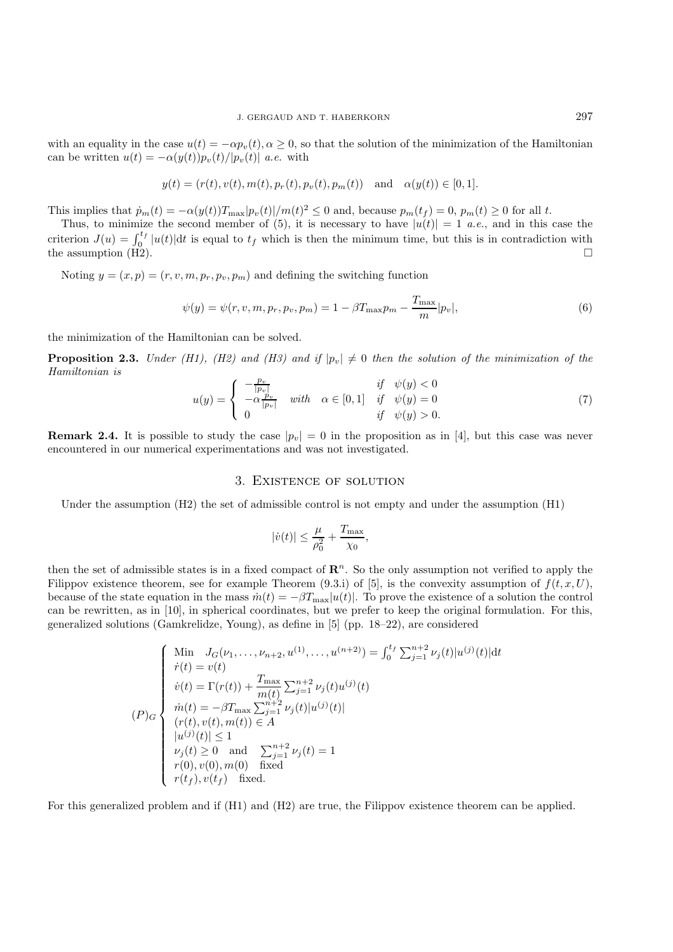with an equality in the case  $u(t) = -\alpha p_v(t), \alpha \ge 0$ , so that the solution of the minimization of the Hamiltonian can be written  $u(t) = -\alpha(y(t))p_v(t)/|p_v(t)|$  *a.e.* with

$$
y(t) = (r(t), v(t), m(t), p_r(t), p_v(t), p_m(t))
$$
 and  $\alpha(y(t)) \in [0, 1]$ .

This implies that  $\dot{p}_m(t) = -\alpha(y(t))T_{\text{max}}|p_v(t)|/m(t)^2 \leq 0$  and, because  $p_m(t_f) = 0$ ,  $p_m(t) \geq 0$  for all t.

Thus, to minimize the second member of (5), it is necessary to have  $|u(t)| = 1$  *a.e.*, and in this case the criterion  $J(u) = \int_0^{t_f} |u(t)| dt$  is equal to  $t_f$  which is then the minimum time, but this is in contradiction with the assumption  $(H2)$ .

Noting  $y = (x, p) = (r, v, m, p_r, p_v, p_m)$  and defining the switching function

$$
\psi(y) = \psi(r, v, m, p_r, p_v, p_m) = 1 - \beta T_{\text{max}} p_m - \frac{T_{\text{max}}}{m} |p_v|,
$$
\n(6)

the minimization of the Hamiltonian can be solved.

**Proposition 2.3.** *Under (H1), (H2) and (H3) and if*  $|p_v| \neq 0$  *then the solution of the minimization of the Hamiltonian is*

$$
u(y) = \begin{cases} -\frac{p_v}{|p_v|} & \text{with } \alpha \in [0,1] & \text{if } \psi(y) < 0\\ -\alpha \frac{p_v}{|p_v|} & \text{with } \alpha \in [0,1] & \text{if } \psi(y) = 0\\ 0 & \text{if } \psi(y) > 0. \end{cases} \tag{7}
$$

**Remark 2.4.** It is possible to study the case  $|p_v| = 0$  in the proposition as in [4], but this case was never encountered in our numerical experimentations and was not investigated.

### 3. Existence of solution

Under the assumption (H2) the set of admissible control is not empty and under the assumption (H1)

$$
|\dot{v}(t)| \leq \frac{\mu}{\rho_0^2} + \frac{T_{\max}}{\chi_0},
$$

then the set of admissible states is in a fixed compact of  $\mathbb{R}^n$ . So the only assumption not verified to apply the Filippov existence theorem, see for example Theorem (9.3.i) of [5], is the convexity assumption of  $f(t, x, U)$ , because of the state equation in the mass  $\dot{m}(t) = -\beta T_{\text{max}}|u(t)|$ . To prove the existence of a solution the control can be rewritten, as in [10], in spherical coordinates, but we prefer to keep the original formulation. For this, generalized solutions (Gamkrelidze, Young), as define in [5] (pp. 18–22), are considered

$$
(P)_{G} \begin{cases} \n\text{Min} & J_G(\nu_1, \dots, \nu_{n+2}, u^{(1)}, \dots, u^{(n+2)}) = \int_0^t \sum_{j=1}^{n+2} \nu_j(t) |u^{(j)}(t)| \, \text{d}t \\
\dot{r}(t) = v(t) \\
\dot{v}(t) = \Gamma(r(t)) + \frac{T_{\text{max}}}{m(t)} \sum_{j=1}^{n+2} \nu_j(t) u^{(j)}(t) \\
\dot{m}(t) = -\beta T_{\text{max}} \sum_{j=1}^{n+2} \nu_j(t) |u^{(j)}(t)| \\
(r(t), v(t), m(t)) \in A \\
|u^{(j)}(t)| \le 1 \\
\nu_j(t) \ge 0 \quad \text{and} \quad \sum_{j=1}^{n+2} \nu_j(t) = 1 \\
r(0), v(0), m(0) \quad \text{fixed} \\
r(t_f), v(t_f) \quad \text{fixed}.\n\end{cases}
$$

For this generalized problem and if (H1) and (H2) are true, the Filippov existence theorem can be applied.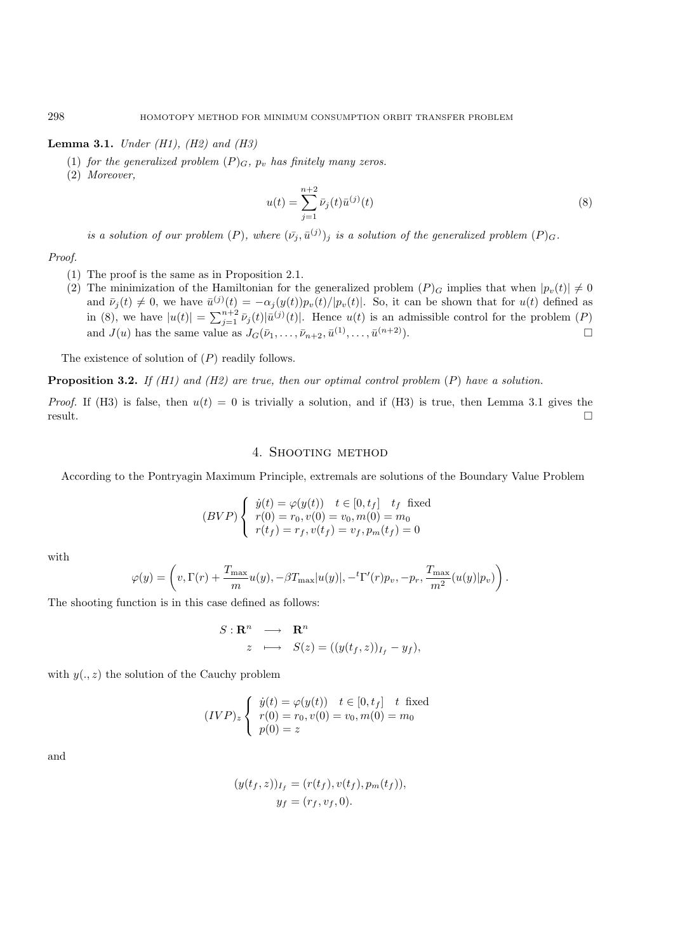**Lemma 3.1.** *Under (H1), (H2) and (H3)*

- (1) *for the generalized problem*  $(P)_G$ *,*  $p_v$  *has finitely many zeros.*
- (2) *Moreover,*

$$
u(t) = \sum_{j=1}^{n+2} \bar{\nu}_j(t)\bar{u}^{(j)}(t)
$$
\n(8)

*is a solution of our problem*  $(P)$ *, where*  $(\bar{v}_j, \bar{u}^{(j)})_j$  *is a solution of the generalized problem*  $(P)_G$ *.* 

*Proof.*

- (1) The proof is the same as in Proposition 2.1.
- (2) The minimization of the Hamiltonian for the generalized problem  $(P)$ <sub>G</sub> implies that when  $|p_v(t)| \neq 0$ and  $\bar{\nu}_j(t) \neq 0$ , we have  $\bar{u}^{(j)}(t) = -\alpha_j(y(t))p_v(t)/|p_v(t)|$ . So, it can be shown that for  $u(t)$  defined as in (8), we have  $|u(t)| = \sum_{j=1}^{n+2} \bar{\nu}_j(t)|\bar{u}^{(j)}(t)|$ . Hence  $u(t)$  is an admissible control for the problem (P) and  $J(u)$  has the same value as  $J_G(\bar{\nu}_1,\ldots,\bar{\nu}_{n+2},\bar{u}^{(1)},\ldots,\bar{u}^{(n+2)}).$

The existence of solution of  $(P)$  readily follows.

**Proposition 3.2.** *If (H1) and (H2) are true, then our optimal control problem* (P) *have a solution.*

*Proof.* If (H3) is false, then  $u(t) = 0$  is trivially a solution, and if (H3) is true, then Lemma 3.1 gives the result.

## 4. Shooting method

According to the Pontryagin Maximum Principle, extremals are solutions of the Boundary Value Problem

$$
(BVP)\begin{cases} \dot{y}(t) = \varphi(y(t)) & t \in [0, t_f] \quad t_f \text{ fixed} \\ \ r(0) = r_0, v(0) = v_0, m(0) = m_0 \\ r(t_f) = r_f, v(t_f) = v_f, p_m(t_f) = 0 \end{cases}
$$

with

$$
\varphi(y) = \left(v, \Gamma(r) + \frac{T_{\text{max}}}{m} u(y), -\beta T_{\text{max}}|u(y)|, -{}^t \Gamma'(r) p_v, -p_r, \frac{T_{\text{max}}}{m^2} (u(y)|p_v)\right).
$$

The shooting function is in this case defined as follows:

$$
S: \mathbf{R}^n \longrightarrow \mathbf{R}^n
$$
  

$$
z \longrightarrow S(z) = ((y(t_f, z))_{I_f} - y_f),
$$

with  $y(., z)$  the solution of the Cauchy problem

$$
(IVP)_z \begin{cases} \dot{y}(t) = \varphi(y(t)) & t \in [0, t_f] & t \text{ fixed} \\ r(0) = r_0, v(0) = v_0, m(0) = m_0 \\ p(0) = z \end{cases}
$$

and

$$
(y(tf, z))If = (r(tf), v(tf), pm(tf)),
$$
  

$$
yf = (rf, vf, 0).
$$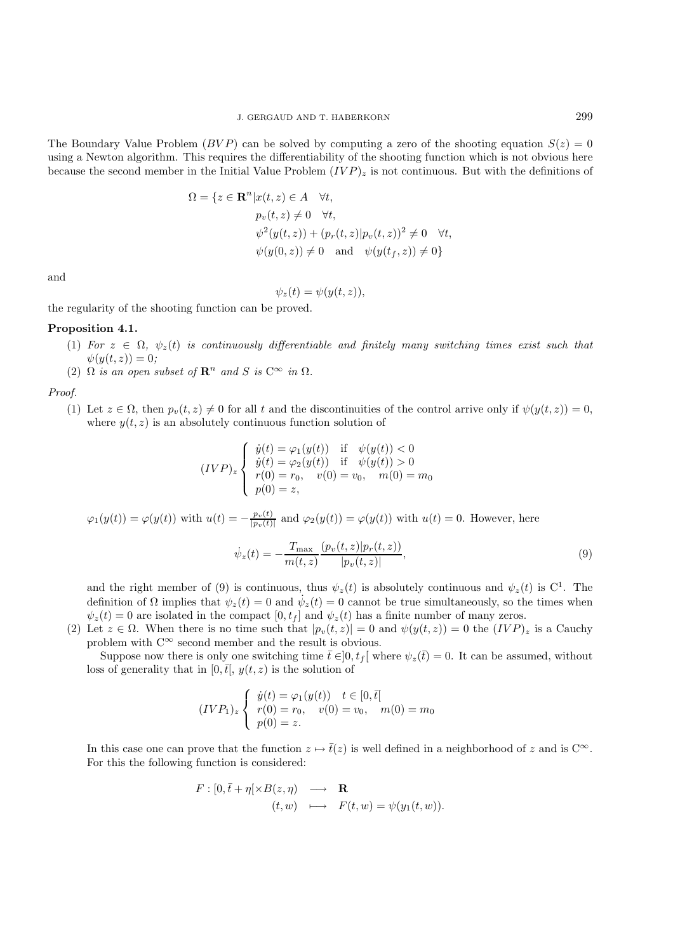The Boundary Value Problem ( $BVP$ ) can be solved by computing a zero of the shooting equation  $S(z)=0$ using a Newton algorithm. This requires the differentiability of the shooting function which is not obvious here because the second member in the Initial Value Problem  $(IVP)_z$  is not continuous. But with the definitions of

$$
\Omega = \{ z \in \mathbf{R}^n | x(t, z) \in A \quad \forall t, p_v(t, z) \neq 0 \quad \forall t, \psi^2(y(t, z)) + (p_r(t, z) | p_v(t, z))^2 \neq 0 \quad \forall t, \psi(y(0, z)) \neq 0 \quad \text{and} \quad \psi(y(t_f, z)) \neq 0 \}
$$

and

$$
\psi_z(t) = \psi(y(t, z)),
$$

the regularity of the shooting function can be proved.

#### **Proposition 4.1.**

- (1) For  $z \in \Omega$ ,  $\psi_z(t)$  is continuously differentiable and finitely many switching times exist such that  $\psi(y(t, z)) = 0$ ;
- (2)  $\Omega$  *is an open subset of*  $\mathbb{R}^n$  *and*  $S$  *is*  $C^{\infty}$  *in*  $\Omega$ *.*

*Proof.*

(1) Let  $z \in \Omega$ , then  $p_v(t, z) \neq 0$  for all t and the discontinuities of the control arrive only if  $\psi(y(t, z)) = 0$ , where  $y(t, z)$  is an absolutely continuous function solution of

$$
(IVP)_z \begin{cases} \dot{y}(t) = \varphi_1(y(t)) & \text{if } \psi(y(t)) < 0\\ \dot{y}(t) = \varphi_2(y(t)) & \text{if } \psi(y(t)) > 0\\ r(0) = r_0, \quad v(0) = v_0, \quad m(0) = m_0\\ p(0) = z, \end{cases}
$$

$$
\varphi_1(y(t)) = \varphi(y(t))
$$
 with  $u(t) = -\frac{p_v(t)}{|p_v(t)|}$  and  $\varphi_2(y(t)) = \varphi(y(t))$  with  $u(t) = 0$ . However, here

$$
\dot{\psi}_z(t) = -\frac{T_{\text{max}}}{m(t, z)} \frac{(p_v(t, z)|p_r(t, z))}{|p_v(t, z)|},\tag{9}
$$

and the right member of (9) is continuous, thus  $\psi_z(t)$  is absolutely continuous and  $\psi_z(t)$  is C<sup>1</sup>. The definition of  $\Omega$  implies that  $\psi_z(t) = 0$  and  $\dot{\psi}_z(t) = 0$  cannot be true simultaneously, so the times when  $\psi_z(t) = 0$  are isolated in the compact  $[0, t_f]$  and  $\psi_z(t)$  has a finite number of many zeros.

(2) Let  $z \in \Omega$ . When there is no time such that  $|p_v(t, z)| = 0$  and  $\psi(y(t, z)) = 0$  the  $(IVP)_z$  is a Cauchy problem with  $C^{\infty}$  second member and the result is obvious.

Suppose now there is only one switching time  $\bar{t} \in ]0, t_f[$  where  $\psi_z(\bar{t}) = 0$ . It can be assumed, without loss of generality that in [0,  $\bar{t}$ ],  $y(t, z)$  is the solution of

$$
(IVP_1)_z \begin{cases} \dot{y}(t) = \varphi_1(y(t)) & t \in [0, \bar{t}] \\ r(0) = r_0, \quad v(0) = v_0, \quad m(0) = m_0 \\ p(0) = z. \end{cases}
$$

In this case one can prove that the function  $z \mapsto \bar{t}(z)$  is well defined in a neighborhood of z and is  $C^{\infty}$ . For this the following function is considered:

$$
F: [0, \bar{t} + \eta[\times B(z, \eta) \longrightarrow \mathbf{R} (t, w) \longrightarrow F(t, w) = \psi(y_1(t, w)).
$$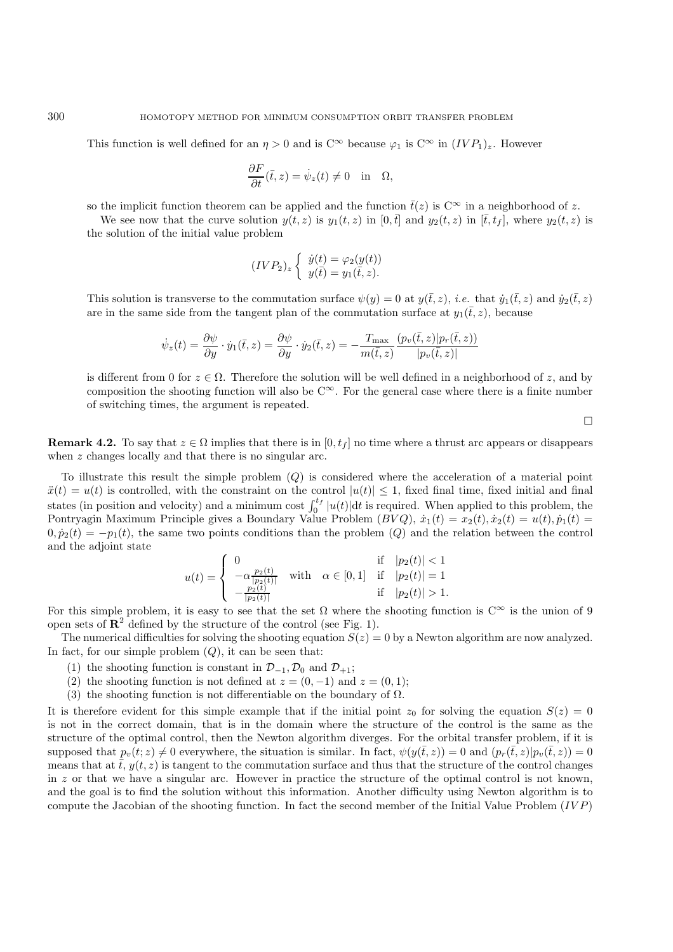This function is well defined for an  $\eta > 0$  and is  $C^{\infty}$  because  $\varphi_1$  is  $C^{\infty}$  in  $(IVP_1)_z$ . However

$$
\frac{\partial F}{\partial t}(\bar{t},z) = \dot{\psi}_z(t) \neq 0 \quad \text{in} \quad \Omega,
$$

so the implicit function theorem can be applied and the function  $\bar{t}(z)$  is  $C^{\infty}$  in a neighborhood of z.

We see now that the curve solution  $y(t, z)$  is  $y_1(t, z)$  in  $[0, \bar{t}]$  and  $y_2(t, z)$  in  $[\bar{t}, t_f]$ , where  $y_2(t, z)$  is the solution of the initial value problem

$$
(IVP_2)_z \left\{ \begin{array}{c} \dot{y}(t) = \varphi_2(y(t)) \\ y(\bar{t}) = y_1(\bar{t}, z). \end{array} \right.
$$

This solution is transverse to the commutation surface  $\psi(y) = 0$  at  $y(\bar{t}, z)$ , *i.e.* that  $\dot{y}_1(\bar{t}, z)$  and  $\dot{y}_2(\bar{t}, z)$ are in the same side from the tangent plan of the commutation surface at  $y_1(\bar{t}, z)$ , because

$$
\dot{\psi}_z(t) = \frac{\partial \psi}{\partial y} \cdot \dot{y}_1(\bar{t}, z) = \frac{\partial \psi}{\partial y} \cdot \dot{y}_2(\bar{t}, z) = -\frac{T_{\text{max}}}{m(\bar{t}, z)} \frac{(p_v(\bar{t}, z)|p_r(\bar{t}, z))}{|p_v(\bar{t}, z)|}
$$

is different from 0 for  $z \in \Omega$ . Therefore the solution will be well defined in a neighborhood of z, and by composition the shooting function will also be  $C^{\infty}$ . For the general case where there is a finite number of switching times, the argument is repeated.

 $\Box$ 

**Remark 4.2.** To say that  $z \in \Omega$  implies that there is in  $[0, t_f]$  no time where a thrust arc appears or disappears when z changes locally and that there is no singular arc.

To illustrate this result the simple problem  $(Q)$  is considered where the acceleration of a material point  $\ddot{x}(t) = u(t)$  is controlled, with the constraint on the control  $|u(t)| \leq 1$ , fixed final time, fixed initial and final states (in position and velocity) and a minimum cost  $\int_0^{t_f} |u(t)| dt$  is required. When applied to this problem, the Pontryagin Maximum Principle gives a Boundary Value Problem  $(BVQ)$ ,  $\dot{x}_1(t) = x_2(t), \dot{x}_2(t) = u(t), p_1(t) = u(t)$  $0, \dot{p}_2(t) = -p_1(t)$ , the same two points conditions than the problem  $(Q)$  and the relation between the control and the adjoint state

$$
u(t) = \begin{cases} 0 & \text{if } |p_2(t)| < 1\\ -\alpha \frac{p_2(t)}{|p_2(t)|} & \text{with } \alpha \in [0,1] \text{ if } |p_2(t)| = 1\\ -\frac{p_2(t)}{|p_2(t)|} & \text{if } |p_2(t)| > 1. \end{cases}
$$

For this simple problem, it is easy to see that the set  $\Omega$  where the shooting function is  $C^{\infty}$  is the union of 9 open sets of  $\mathbb{R}^2$  defined by the structure of the control (see Fig. 1).

The numerical difficulties for solving the shooting equation  $S(z) = 0$  by a Newton algorithm are now analyzed. In fact, for our simple problem  $(Q)$ , it can be seen that:

- (1) the shooting function is constant in  $\mathcal{D}_{-1}, \mathcal{D}_0$  and  $\mathcal{D}_{+1}$ ;
- (2) the shooting function is not defined at  $z = (0, -1)$  and  $z = (0, 1)$ ;
- (3) the shooting function is not differentiable on the boundary of  $\Omega$ .

It is therefore evident for this simple example that if the initial point  $z_0$  for solving the equation  $S(z)=0$ is not in the correct domain, that is in the domain where the structure of the control is the same as the structure of the optimal control, then the Newton algorithm diverges. For the orbital transfer problem, if it is supposed that  $p_v(t; z) \neq 0$  everywhere, the situation is similar. In fact,  $\psi(y(\bar{t}, z)) = 0$  and  $(p_r(\bar{t}, z) | p_v(\bar{t}, z)) = 0$ means that at  $\bar{t}$ ,  $y(t, z)$  is tangent to the commutation surface and thus that the structure of the control changes in z or that we have a singular arc. However in practice the structure of the optimal control is not known, and the goal is to find the solution without this information. Another difficulty using Newton algorithm is to compute the Jacobian of the shooting function. In fact the second member of the Initial Value Problem  $(IVP)$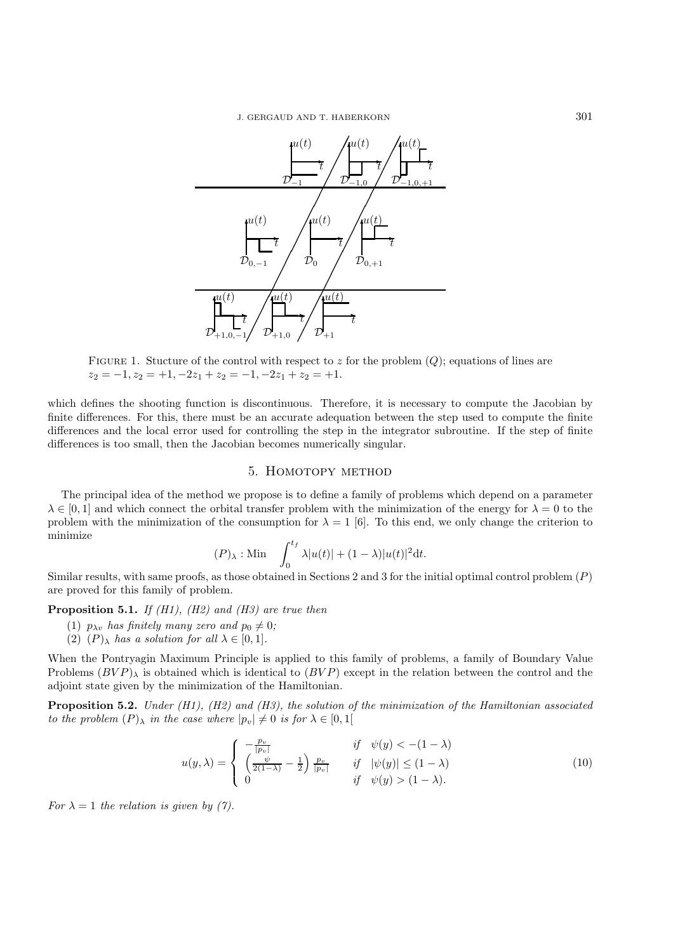

FIGURE 1. Stucture of the control with respect to z for the problem  $(Q)$ ; equations of lines are  $z_2 = -1, z_2 = +1, -2z_1 + z_2 = -1, -2z_1 + z_2 = +1.$ 

which defines the shooting function is discontinuous. Therefore, it is necessary to compute the Jacobian by finite differences. For this, there must be an accurate adequation between the step used to compute the finite differences and the local error used for controlling the step in the integrator subroutine. If the step of finite differences is too small, then the Jacobian becomes numerically singular.

### 5. Homotopy method

The principal idea of the method we propose is to define a family of problems which depend on a parameter  $\lambda \in [0,1]$  and which connect the orbital transfer problem with the minimization of the energy for  $\lambda = 0$  to the problem with the minimization of the consumption for  $\lambda = 1$  [6]. To this end, we only change the criterion to minimize

$$
(P)_{\lambda} : \text{Min} \quad \int_0^{t_f} \lambda |u(t)| + (1 - \lambda) |u(t)|^2 \mathrm{d}t.
$$

Similar results, with same proofs, as those obtained in Sections 2 and 3 for the initial optimal control problem  $(P)$ are proved for this family of problem.

**Proposition 5.1.** *If (H1), (H2) and (H3) are true then*

- (1)  $p_{\lambda v}$  *has finitely many zero and*  $p_0 \neq 0$ ;
- (2)  $(P)_{\lambda}$  *has a solution for all*  $\lambda \in [0, 1]$ *.*

When the Pontryagin Maximum Principle is applied to this family of problems, a family of Boundary Value Problems  $(BVP)$ <sub>λ</sub> is obtained which is identical to  $(BVP)$  except in the relation between the control and the adjoint state given by the minimization of the Hamiltonian.

**Proposition 5.2.** *Under (H1), (H2) and (H3), the solution of the minimization of the Hamiltonian associated to the problem*  $(P)_{\lambda}$  *in the case where*  $|p_v| \neq 0$  *is for*  $\lambda \in [0,1]$ 

$$
u(y,\lambda) = \begin{cases} -\frac{p_v}{|p_v|} & \text{if } \psi(y) < -(1-\lambda) \\ \left(\frac{\psi}{2(1-\lambda)} - \frac{1}{2}\right) \frac{p_v}{|p_v|} & \text{if } |\psi(y)| \le (1-\lambda) \\ 0 & \text{if } \psi(y) > (1-\lambda). \end{cases} \tag{10}
$$

*For*  $\lambda = 1$  *the relation is given by (7).*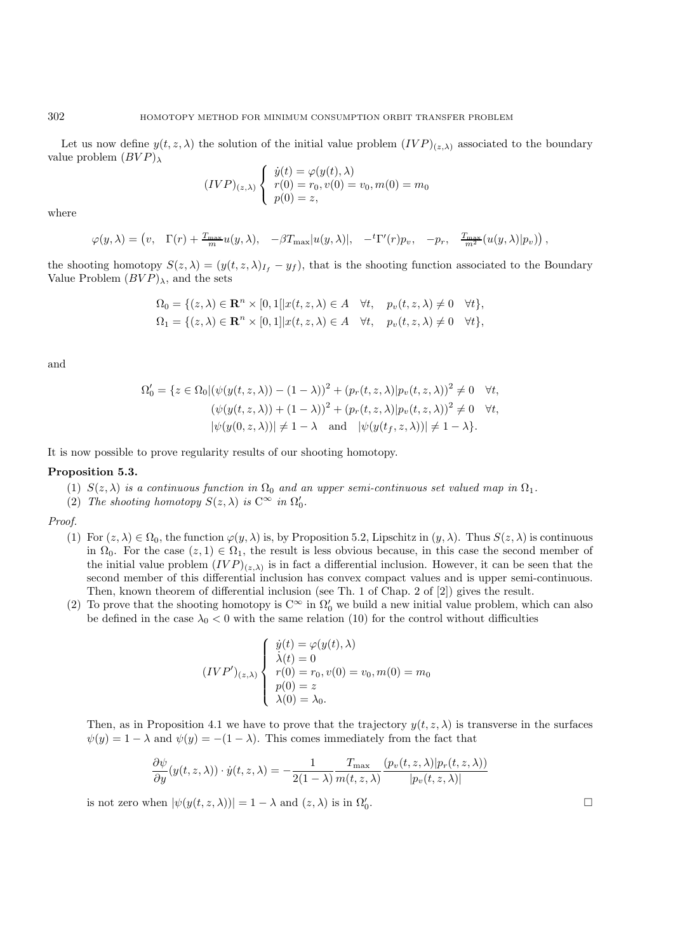Let us now define  $y(t, z, \lambda)$  the solution of the initial value problem  $(IVP)_{(z,\lambda)}$  associated to the boundary value problem  $(BVP)_{\lambda}$ 

$$
(IVP)_{(z,\lambda)} \begin{cases} \dot{y}(t) = \varphi(y(t), \lambda) \\ r(0) = r_0, v(0) = v_0, m(0) = m_0 \\ p(0) = z, \end{cases}
$$

where

$$
\varphi(y,\lambda) = \left(v, \quad \Gamma(r) + \frac{T_{\max}}{m} u(y,\lambda), \quad -\beta T_{\max}|u(y,\lambda)|, \quad -{}^t \Gamma'(r) p_v, \quad -p_r, \quad \frac{T_{\max}}{m^2} \left(u(y,\lambda)|p_v\right)\right),
$$

the shooting homotopy  $S(z, \lambda)=(y(t, z, \lambda)_{I_f} - y_f)$ , that is the shooting function associated to the Boundary Value Problem  $(BVP)_{\lambda}$ , and the sets

$$
\Omega_0 = \{(z, \lambda) \in \mathbf{R}^n \times [0, 1[|x(t, z, \lambda) \in A \quad \forall t, \quad p_v(t, z, \lambda) \neq 0 \quad \forall t\},\
$$
  

$$
\Omega_1 = \{(z, \lambda) \in \mathbf{R}^n \times [0, 1]|x(t, z, \lambda) \in A \quad \forall t, \quad p_v(t, z, \lambda) \neq 0 \quad \forall t\},
$$

and

$$
\Omega'_0 = \{ z \in \Omega_0 | (\psi(y(t, z, \lambda)) - (1 - \lambda))^2 + (p_r(t, z, \lambda) | p_v(t, z, \lambda))^2 \neq 0 \quad \forall t, (\psi(y(t, z, \lambda)) + (1 - \lambda))^2 + (p_r(t, z, \lambda) | p_v(t, z, \lambda))^2 \neq 0 \quad \forall t, |\psi(y(0, z, \lambda))| \neq 1 - \lambda \quad \text{and} \quad |\psi(y(t_f, z, \lambda))| \neq 1 - \lambda \}.
$$

It is now possible to prove regularity results of our shooting homotopy.

#### **Proposition 5.3.**

- (1)  $S(z, \lambda)$  *is a continuous function in*  $\Omega_0$  *and an upper semi-continuous set valued map in*  $\Omega_1$ *.*
- (2) *The shooting homotopy*  $S(z, \lambda)$  *is*  $C^{\infty}$  *in*  $\Omega'_0$ *.*

*Proof.*

- (1) For  $(z, \lambda) \in \Omega_0$ , the function  $\varphi(y, \lambda)$  is, by Proposition 5.2, Lipschitz in  $(y, \lambda)$ . Thus  $S(z, \lambda)$  is continuous in  $\Omega_0$ . For the case  $(z, 1) \in \Omega_1$ , the result is less obvious because, in this case the second member of the initial value problem  $(IVP)_{(z,\lambda)}$  is in fact a differential inclusion. However, it can be seen that the second member of this differential inclusion has convex compact values and is upper semi-continuous. Then, known theorem of differential inclusion (see Th. 1 of Chap. 2 of [2]) gives the result.
- (2) To prove that the shooting homotopy is  $C^{\infty}$  in  $\Omega'_{0}$  we build a new initial value problem, which can also be defined in the case  $\lambda_0 < 0$  with the same relation (10) for the control without difficulties

$$
(IVP')_{(z,\lambda)} \begin{cases} \dot{y}(t) = \varphi(y(t), \lambda) \\ \dot{\lambda}(t) = 0 \\ r(0) = r_0, v(0) = v_0, m(0) = m_0 \\ p(0) = z \\ \lambda(0) = \lambda_0. \end{cases}
$$

Then, as in Proposition 4.1 we have to prove that the trajectory  $y(t, z, \lambda)$  is transverse in the surfaces  $\psi(y) = 1 - \lambda$  and  $\psi(y) = -(1 - \lambda)$ . This comes immediately from the fact that

$$
\frac{\partial \psi}{\partial y}(y(t,z,\lambda)) \cdot \dot{y}(t,z,\lambda) = -\frac{1}{2(1-\lambda)} \frac{T_{\text{max}}}{m(t,z,\lambda)} \frac{(p_v(t,z,\lambda))p_r(t,z,\lambda)}{|p_v(t,z,\lambda)|}
$$

is not zero when  $|\psi(y(t, z, \lambda))| = 1 - \lambda$  and  $(z, \lambda)$  is in  $\Omega'_0$ .

 $\overline{0}$ .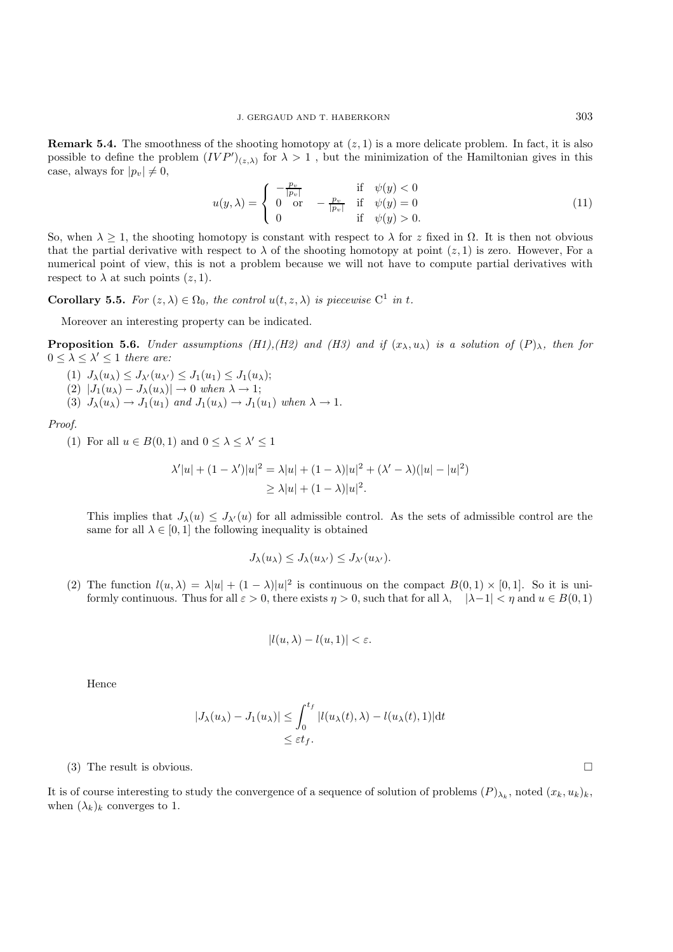**Remark 5.4.** The smoothness of the shooting homotopy at  $(z, 1)$  is a more delicate problem. In fact, it is also possible to define the problem  $(IVP')_{(z,\lambda)}$  for  $\lambda > 1$ , but the minimization of the Hamiltonian gives in this case, always for  $|p_v| \neq 0$ ,

$$
u(y,\lambda) = \begin{cases} -\frac{p_v}{|p_v|} & \text{if } \psi(y) < 0\\ 0 & \text{or } -\frac{p_v}{|p_v|} & \text{if } \psi(y) = 0\\ 0 & \text{if } \psi(y) > 0. \end{cases}
$$
(11)

So, when  $\lambda \geq 1$ , the shooting homotopy is constant with respect to  $\lambda$  for z fixed in  $\Omega$ . It is then not obvious that the partial derivative with respect to  $\lambda$  of the shooting homotopy at point  $(z, 1)$  is zero. However, For a numerical point of view, this is not a problem because we will not have to compute partial derivatives with respect to  $\lambda$  at such points  $(z, 1)$ .

**Corollary 5.5.** *For*  $(z, \lambda) \in \Omega_0$ *, the control*  $u(t, z, \lambda)$  *is piecewise*  $C^1$  *in* t*.* 

Moreover an interesting property can be indicated.

**Proposition 5.6.** *Under assumptions (H1),(H2) and (H3) and if*  $(x_\lambda, u_\lambda)$  *is a solution of*  $(P)_\lambda$ *, then for*  $0 \leq \lambda \leq \lambda' \leq 1$  *there are:* 

- (1)  $J_{\lambda}(u_{\lambda}) \leq J_{\lambda'}(u_{\lambda'}) \leq J_1(u_1) \leq J_1(u_{\lambda});$
- $(2)$   $|J_1(u_\lambda) J_\lambda(u_\lambda)| \to 0$  when  $\lambda \to 1$ ;
- (3)  $J_{\lambda}(u_{\lambda}) \rightarrow J_1(u_1)$  *and*  $J_1(u_{\lambda}) \rightarrow J_1(u_1)$  *when*  $\lambda \rightarrow 1$ .

*Proof.*

(1) For all  $u \in B(0,1)$  and  $0 \leq \lambda \leq \lambda' \leq 1$ 

$$
\lambda'|u| + (1 - \lambda')|u|^2 = \lambda|u| + (1 - \lambda)|u|^2 + (\lambda' - \lambda)(|u| - |u|^2)
$$
  
\n
$$
\ge \lambda|u| + (1 - \lambda)|u|^2.
$$

This implies that  $J_\lambda(u) \leq J_{\lambda'}(u)$  for all admissible control. As the sets of admissible control are the same for all  $\lambda \in [0, 1]$  the following inequality is obtained

$$
J_{\lambda}(u_{\lambda}) \leq J_{\lambda}(u_{\lambda'}) \leq J_{\lambda'}(u_{\lambda'}).
$$

(2) The function  $l(u, \lambda) = \lambda |u| + (1 - \lambda) |u|^2$  is continuous on the compact  $B(0, 1) \times [0, 1]$ . So it is uniformly continuous. Thus for all  $\varepsilon > 0$ , there exists  $\eta > 0$ , such that for all  $\lambda$ ,  $|\lambda - 1| < \eta$  and  $u \in B(0, 1)$ 

$$
|l(u, \lambda) - l(u, 1)| < \varepsilon.
$$

Hence

$$
|J_{\lambda}(u_{\lambda}) - J_1(u_{\lambda})| \leq \int_0^{t_f} |l(u_{\lambda}(t), \lambda) - l(u_{\lambda}(t), 1)| dt
$$
  
\$\leq \varepsilon t\_f\$.

(3) The result is obvious.

It is of course interesting to study the convergence of a sequence of solution of problems  $(P)_{\lambda_k}$ , noted  $(x_k, u_k)_k$ , when  $(\lambda_k)_k$  converges to 1.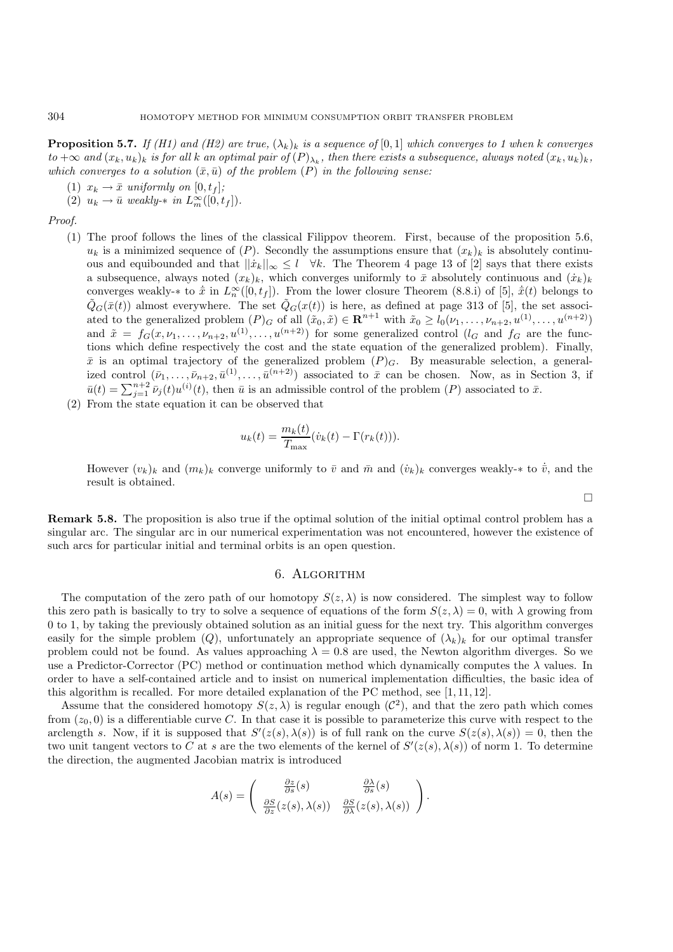**Proposition 5.7.** *If (H1) and (H2) are true,*  $(\lambda_k)_k$  *is a sequence of* [0, 1] *which converges to 1 when* k *converges*  $to +\infty$  and  $(x_k, u_k)_k$  *is for all* k an optimal pair of  $(P)_{\lambda_k}$ , then there exists a subsequence, always noted  $(x_k, u_k)_k$ , *which converges to a solution*  $(\bar{x}, \bar{u})$  *of the problem*  $(P)$  *in the following sense:* 

(1)  $x_k \rightarrow \bar{x}$  *uniformly on* [0, t<sub>f</sub>];

(2)  $u_k \to \bar{u}$  weakly- $*$  *in*  $L_m^{\infty}([0, t_f]).$ 

*Proof.*

- (1) The proof follows the lines of the classical Filippov theorem. First, because of the proposition 5.6,  $u_k$  is a minimized sequence of (P). Secondly the assumptions ensure that  $(x_k)_k$  is absolutely continuous and equibounded and that  $||\dot{x}_k||_{\infty} \leq l \quad \forall k$ . The Theorem 4 page 13 of [2] says that there exists a subsequence, always noted  $(x_k)_k$ , which converges uniformly to  $\bar{x}$  absolutely continuous and  $(\dot{x}_k)_k$ converges weakly- $*$  to  $\dot{\bar{x}}$  in  $L_n^{\infty}([0, t_f])$ . From the lower closure Theorem (8.8.i) of [5],  $\dot{\bar{x}}(t)$  belongs to  $\tilde{Q}_G(\bar{x}(t))$  almost everywhere. The set  $\tilde{Q}_G(x(t))$  is here, as defined at page 313 of [5], the set associated to the generalized problem  $(P)_G$  of all  $(\tilde{x}_0, \tilde{x}) \in \mathbb{R}^{n+1}$  with  $\tilde{x}_0 \ge l_0(\nu_1, \ldots, \nu_{n+2}, u^{(1)}, \ldots, u^{(n+2)})$ and  $\tilde{x} = f_G(x, \nu_1, \dots, \nu_{n+2}, u^{(1)}, \dots, u^{(n+2)})$  for some generalized control  $(l_G$  and  $f_G$  are the functions which define respectively the cost and the state equation of the generalized problem). Finally,  $\bar{x}$  is an optimal trajectory of the generalized problem  $(P)_G$ . By measurable selection, a generalized control  $(\bar{\nu}_1,\ldots,\bar{\nu}_{n+2},\bar{u}^{(1)},\ldots,\bar{u}^{(n+2)})$  associated to  $\bar{x}$  can be chosen. Now, as in Section 3, if  $\bar{u}(t) = \sum_{j=1}^{n+2} \bar{\nu}_j(t) u^{(i)}(t)$ , then  $\bar{u}$  is an admissible control of the problem  $(P)$  associated to  $\bar{x}$ .
- (2) From the state equation it can be observed that

$$
u_k(t) = \frac{m_k(t)}{T_{\text{max}}}(\dot{v}_k(t) - \Gamma(r_k(t))).
$$

However  $(v_k)_k$  and  $(m_k)_k$  converge uniformly to  $\bar{v}$  and  $\bar{m}$  and  $(\dot{v}_k)_k$  converges weakly- $*$  to  $\bar{v}$ , and the result is obtained.

 $\Box$ 

**Remark 5.8.** The proposition is also true if the optimal solution of the initial optimal control problem has a singular arc. The singular arc in our numerical experimentation was not encountered, however the existence of such arcs for particular initial and terminal orbits is an open question.

## 6. Algorithm

The computation of the zero path of our homotopy  $S(z,\lambda)$  is now considered. The simplest way to follow this zero path is basically to try to solve a sequence of equations of the form  $S(z,\lambda) = 0$ , with  $\lambda$  growing from 0 to 1, by taking the previously obtained solution as an initial guess for the next try. This algorithm converges easily for the simple problem (Q), unfortunately an appropriate sequence of  $(\lambda_k)_k$  for our optimal transfer problem could not be found. As values approaching  $\lambda = 0.8$  are used, the Newton algorithm diverges. So we use a Predictor-Corrector (PC) method or continuation method which dynamically computes the  $\lambda$  values. In order to have a self-contained article and to insist on numerical implementation difficulties, the basic idea of this algorithm is recalled. For more detailed explanation of the PC method, see [1, 11, 12].

Assume that the considered homotopy  $S(z, \lambda)$  is regular enough  $(\mathcal{C}^2)$ , and that the zero path which comes from  $(z_0, 0)$  is a differentiable curve C. In that case it is possible to parameterize this curve with respect to the arclength s. Now, if it is supposed that  $S'(z(s), \lambda(s))$  is of full rank on the curve  $S(z(s), \lambda(s)) = 0$ , then the two unit tangent vectors to C at s are the two elements of the kernel of  $S'(z(s), \lambda(s))$  of norm 1. To determine the direction, the augmented Jacobian matrix is introduced

$$
A(s) = \begin{pmatrix} \frac{\partial z}{\partial s}(s) & \frac{\partial \lambda}{\partial s}(s) \\ \frac{\partial S}{\partial z}(z(s), \lambda(s)) & \frac{\partial S}{\partial \lambda}(z(s), \lambda(s)) \end{pmatrix}.
$$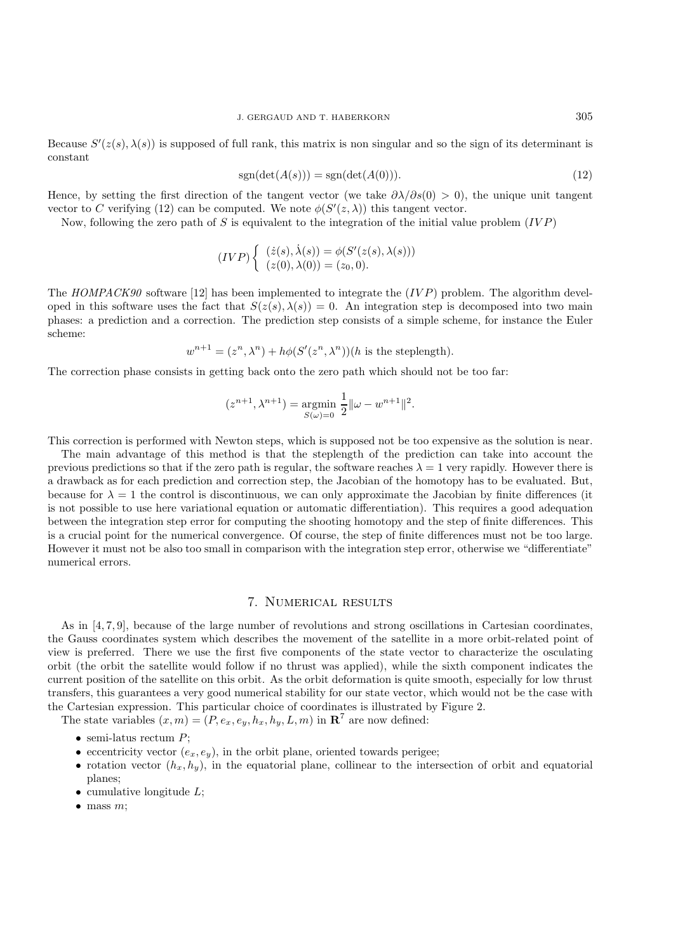Because  $S'(z(s), \lambda(s))$  is supposed of full rank, this matrix is non singular and so the sign of its determinant is constant

$$
sgn(\det(A(s))) = sgn(\det(A(0))). \tag{12}
$$

Hence, by setting the first direction of the tangent vector (we take  $\partial \lambda/\partial s(0) > 0$ ), the unique unit tangent vector to C verifying (12) can be computed. We note  $\phi(S'(z,\lambda))$  this tangent vector.

Now, following the zero path of S is equivalent to the integration of the initial value problem  $(IVP)$ 

$$
(IVP)\begin{cases} (z(s),\dot{\lambda}(s)) = \phi(S'(z(s),\lambda(s)))\\ (z(0),\lambda(0)) = (z_0,0). \end{cases}
$$

The  $HOMPACK90$  software [12] has been implemented to integrate the  $(IVP)$  problem. The algorithm developed in this software uses the fact that  $S(z(s), \lambda(s)) = 0$ . An integration step is decomposed into two main phases: a prediction and a correction. The prediction step consists of a simple scheme, for instance the Euler scheme:

 $w^{n+1} = (z^n, \lambda^n) + h\phi(S'(z^n, \lambda^n))(h$  is the steplength).

The correction phase consists in getting back onto the zero path which should not be too far:

$$
(z^{n+1}, \lambda^{n+1}) = \underset{S(\omega)=0}{\text{argmin}} \frac{1}{2} ||\omega - w^{n+1}||^2.
$$

This correction is performed with Newton steps, which is supposed not be too expensive as the solution is near.

The main advantage of this method is that the steplength of the prediction can take into account the previous predictions so that if the zero path is regular, the software reaches  $\lambda = 1$  very rapidly. However there is a drawback as for each prediction and correction step, the Jacobian of the homotopy has to be evaluated. But, because for  $\lambda = 1$  the control is discontinuous, we can only approximate the Jacobian by finite differences (it is not possible to use here variational equation or automatic differentiation). This requires a good adequation between the integration step error for computing the shooting homotopy and the step of finite differences. This is a crucial point for the numerical convergence. Of course, the step of finite differences must not be too large. However it must not be also too small in comparison with the integration step error, otherwise we "differentiate" numerical errors.

## 7. Numerical results

As in [4, 7, 9], because of the large number of revolutions and strong oscillations in Cartesian coordinates, the Gauss coordinates system which describes the movement of the satellite in a more orbit-related point of view is preferred. There we use the first five components of the state vector to characterize the osculating orbit (the orbit the satellite would follow if no thrust was applied), while the sixth component indicates the current position of the satellite on this orbit. As the orbit deformation is quite smooth, especially for low thrust transfers, this guarantees a very good numerical stability for our state vector, which would not be the case with the Cartesian expression. This particular choice of coordinates is illustrated by Figure 2.

The state variables  $(x, m) = (P, e_x, e_y, h_x, h_y, L, m)$  in **R**<sup>7</sup> are now defined:

- semi-latus rectum  $P$ ;
- eccentricity vector  $(e_x, e_y)$ , in the orbit plane, oriented towards perigee;
- rotation vector  $(h_x, h_y)$ , in the equatorial plane, collinear to the intersection of orbit and equatorial planes;
- cumulative longitude  $L$ ;
- $\bullet$  mass m;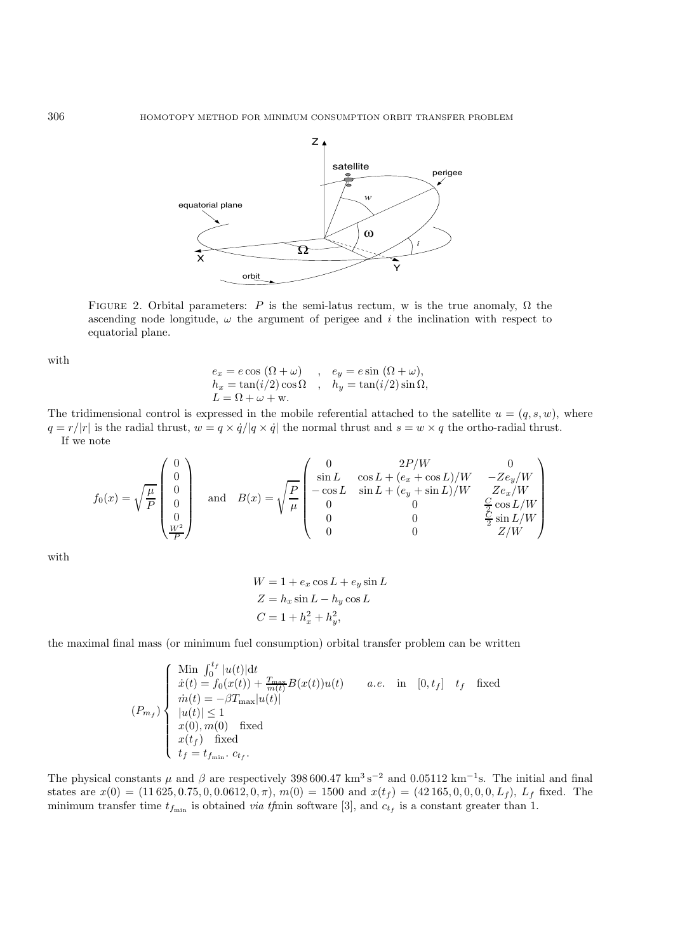

FIGURE 2. Orbital parameters: P is the semi-latus rectum, w is the true anomaly,  $\Omega$  the ascending node longitude,  $\omega$  the argument of perigee and i the inclination with respect to equatorial plane.

with

$$
e_x = e \cos (\Omega + \omega) , e_y = e \sin (\Omega + \omega),
$$
  
\n
$$
h_x = \tan(i/2) \cos \Omega , h_y = \tan(i/2) \sin \Omega,
$$
  
\n
$$
L = \Omega + \omega + w.
$$

The tridimensional control is expressed in the mobile referential attached to the satellite  $u = (q, s, w)$ , where  $q = r/|r|$  is the radial thrust,  $w = q \times \dot{q}/|q \times \dot{q}|$  the normal thrust and  $s = w \times q$  the ortho-radial thrust. If we note

$$
f_0(x) = \sqrt{\frac{\mu}{P}} \begin{pmatrix} 0 \\ 0 \\ 0 \\ 0 \\ 0 \\ \frac{W^2}{P} \end{pmatrix} \quad \text{and} \quad B(x) = \sqrt{\frac{P}{\mu}} \begin{pmatrix} 0 & 2P/W & 0 \\ \sin L & \cos L + (e_x + \cos L)/W & -Ze_y/W \\ -\cos L & \sin L + (e_y + \sin L)/W & Ze_x/W \\ 0 & 0 & \frac{C}{C} \cos L/W \\ 0 & 0 & \frac{C}{2} \sin L/W \\ 0 & 0 & Z/W \end{pmatrix}
$$

with

$$
W = 1 + e_x \cos L + e_y \sin L
$$
  
\n
$$
Z = h_x \sin L - h_y \cos L
$$
  
\n
$$
C = 1 + h_x^2 + h_y^2,
$$

the maximal final mass (or minimum fuel consumption) orbital transfer problem can be written

$$
(P_{m_f})\begin{cases}\n\begin{array}{l}\n\text{Min } \int_0^{t_f} |u(t)| \mathrm{d}t \\
\dot{x}(t) = f_0(x(t)) + \frac{T_{\text{max}}}{m(t)} B(x(t))u(t) \\
\dot{m}(t) = -\beta T_{\text{max}} |u(t)| \\
|u(t)| \le 1 \\
x(0), m(0) \quad \text{fixed} \\
x(t_f) \quad \text{fixed} \\
t_f = t_{f_{\text{min}}}. \ c_{t_f}.\n\end{array}\n\end{cases}
$$
\n(P\_{m\_f})\begin{cases}\n\text{Min } \int\_0^{t\_f} |u(t)| \mathrm{d}t \\
|u(t)| \le 1 \\
x(t\_f) \quad \text{fixed} \\
t\_f = t\_{f\_{\text{min}}}. \ c\_{t\_f}.\n\end{cases}

The physical constants  $\mu$  and  $\beta$  are respectively 398 600.47 km<sup>3</sup> s<sup>-2</sup> and 0.05112 km<sup>-1</sup>s. The initial and final states are  $x(0) = (11\,625, 0.75, 0, 0.0612, 0, \pi), m(0) = 1500$  and  $x(t_f) = (42\,165, 0, 0, 0, 0, L_f), L_f$  fixed. The minimum transfer time  $t_{f_{\min}}$  is obtained *via tfrmin* software [3], and  $c_{t_f}$  is a constant greater than 1.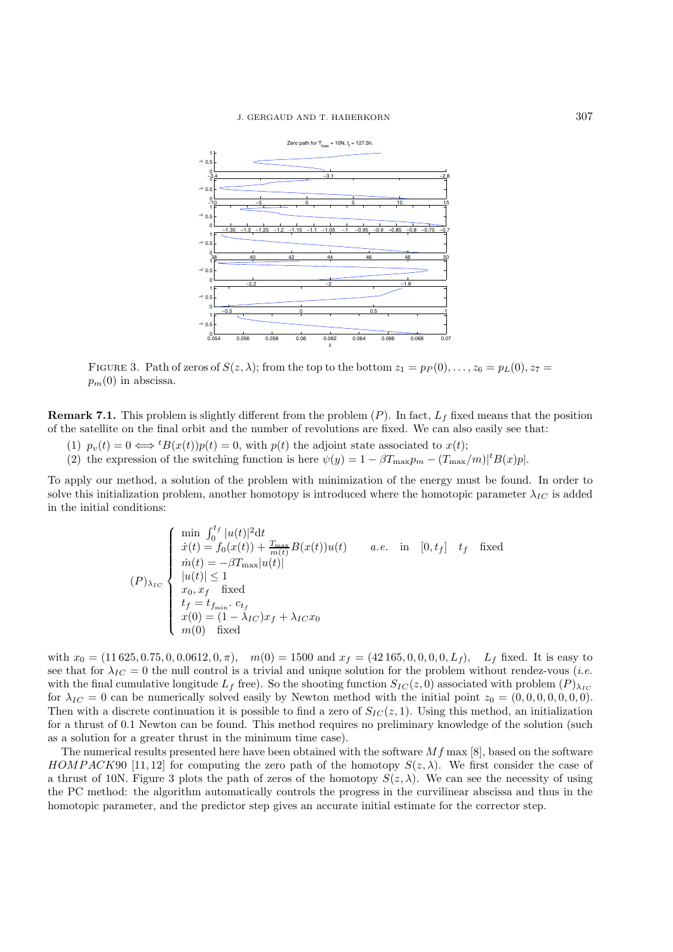

FIGURE 3. Path of zeros of  $S(z, \lambda)$ ; from the top to the bottom  $z_1 = p_P(0), \ldots, z_6 = p_L(0), z_7 =$  $p_m(0)$  in abscissa.

**Remark 7.1.** This problem is slightly different from the problem  $(P)$ . In fact,  $L_f$  fixed means that the position of the satellite on the final orbit and the number of revolutions are fixed. We can also easily see that:

- (1)  $p_v(t) = 0 \Longleftrightarrow {}^t B(x(t))p(t) = 0$ , with  $p(t)$  the adjoint state associated to  $x(t)$ ;
- (2) the expression of the switching function is here  $\psi(y) = 1 \beta T_{\max} p_m (T_{\max}/m)^{\dagger} B(x) p$ .

To apply our method, a solution of the problem with minimization of the energy must be found. In order to solve this initialization problem, another homotopy is introduced where the homotopic parameter  $\lambda_{IC}$  is added in the initial conditions:

$$
(P)_{\lambda_{IC}} \begin{cases} \min \int_0^{t_f} |u(t)|^2 dt \\ \dot{x}(t) = f_0(x(t)) + \frac{T_{\text{max}}}{m(t)} B(x(t))u(t) & a.e. \text{ in } [0, t_f] \quad t_f \quad \text{fixed} \\ \dot{m}(t) = -\beta T_{\text{max}} |u(t)| \\ |u(t)| \le 1 \\ x_0, x_f \quad \text{fixed} \\ t_f = t_{f_{\text{min}}} \cdot c_{t_f} \\ x(0) = (1 - \lambda_{IC})x_f + \lambda_{IC} x_0 \\ m(0) \quad \text{fixed} \end{cases}
$$

with  $x_0 = (11\,625, 0.75, 0, 0.0612, 0, \pi)$ ,  $m(0) = 1500$  and  $x_f = (42\,165, 0, 0, 0, 0, L_f)$ ,  $L_f$  fixed. It is easy to see that for  $\lambda_{IC} = 0$  the null control is a trivial and unique solution for the problem without rendez-vous (*i.e.* with the final cumulative longitude  $L_f$  free). So the shooting function  $S_{IC}(z, 0)$  associated with problem  $(P)_{\lambda_{IC}}$ for  $\lambda_{IC} = 0$  can be numerically solved easily by Newton method with the initial point  $z_0 = (0, 0, 0, 0, 0, 0, 0)$ . Then with a discrete continuation it is possible to find a zero of  $S_{IC}(z, 1)$ . Using this method, an initialization for a thrust of 0.1 Newton can be found. This method requires no preliminary knowledge of the solution (such as a solution for a greater thrust in the minimum time case).

The numerical results presented here have been obtained with the software  $Mf$  max [8], based on the software  $HOMPACK90$  [11, 12] for computing the zero path of the homotopy  $S(z,\lambda)$ . We first consider the case of a thrust of 10N. Figure 3 plots the path of zeros of the homotopy  $S(z, \lambda)$ . We can see the necessity of using the PC method: the algorithm automatically controls the progress in the curvilinear abscissa and thus in the homotopic parameter, and the predictor step gives an accurate initial estimate for the corrector step.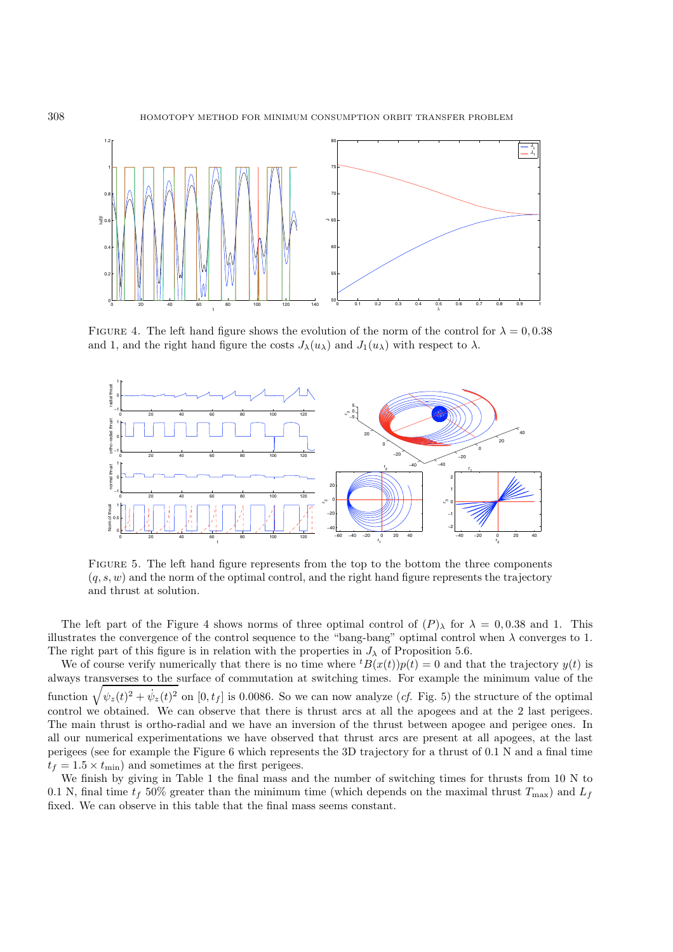

FIGURE 4. The left hand figure shows the evolution of the norm of the control for  $\lambda = 0.0.38$ and 1, and the right hand figure the costs  $J_{\lambda}(u_{\lambda})$  and  $J_1(u_{\lambda})$  with respect to  $\lambda$ .



FIGURE 5. The left hand figure represents from the top to the bottom the three components  $(a, s, w)$  and the norm of the optimal control, and the right hand figure represents the trajectory and thrust at solution.

The left part of the Figure 4 shows norms of three optimal control of  $(P)$ <sup> $\lambda$ </sup> for  $\lambda = 0.038$  and 1. This illustrates the convergence of the control sequence to the "bang-bang" optimal control when  $\lambda$  converges to 1. The right part of this figure is in relation with the properties in  $J_{\lambda}$  of Proposition 5.6.

We of course verify numerically that there is no time where  ${}^tB(x(t))p(t) = 0$  and that the trajectory  $y(t)$  is always transverses to the surface of commutation at switching times. For example the minimum value of the function  $\sqrt{\psi_z(t)^2 + \dot{\psi}_z(t)^2}$  on  $[0, t_f]$  is 0.0086. So we can now analyze (*cf.* Fig. 5) the structure of the optimal control we obtained. We can observe that there is thrust arcs at all the apogees and at the 2 last perigees. The main thrust is ortho-radial and we have an inversion of the thrust between apogee and perigee ones. In all our numerical experimentations we have observed that thrust arcs are present at all apogees, at the last perigees (see for example the Figure 6 which represents the 3D trajectory for a thrust of 0.1 N and a final time  $t_f = 1.5 \times t_{\text{min}}$  and sometimes at the first perigees.

We finish by giving in Table 1 the final mass and the number of switching times for thrusts from 10 N to 0.1 N, final time  $t_f$  50% greater than the minimum time (which depends on the maximal thrust  $T_{\text{max}}$ ) and  $L_f$ fixed. We can observe in this table that the final mass seems constant.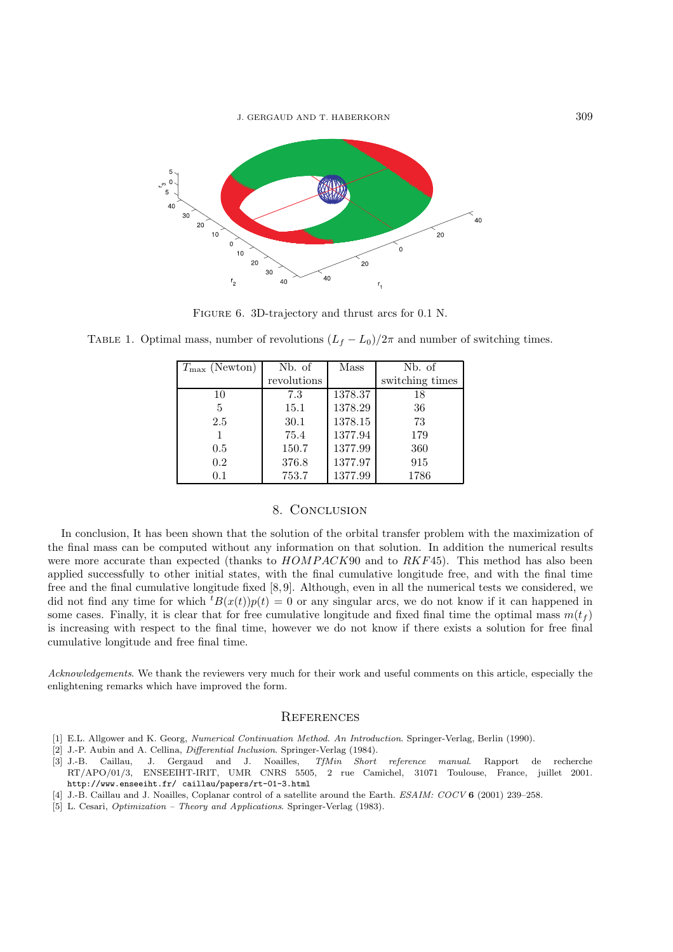

FIGURE 6. 3D-trajectory and thrust arcs for 0.1 N.

TABLE 1. Optimal mass, number of revolutions  $(L_f - L_0)/2\pi$  and number of switching times.

| $T_{\text{max}}$ (Newton) | Nb. of      | Mass    | Nb. of          |
|---------------------------|-------------|---------|-----------------|
|                           | revolutions |         | switching times |
| 10                        | 7.3         | 1378.37 | 18              |
| 5                         | 15.1        | 1378.29 | 36              |
| 2.5                       | 30.1        | 1378.15 | 73              |
|                           | 75.4        | 1377.94 | 179             |
| 0.5                       | 150.7       | 1377.99 | 360             |
| 0.2                       | 376.8       | 1377.97 | 915             |
| 0.1                       | 753.7       | 1377.99 | 1786            |

## 8. Conclusion

In conclusion, It has been shown that the solution of the orbital transfer problem with the maximization of the final mass can be computed without any information on that solution. In addition the numerical results were more accurate than expected (thanks to  $HOMPACK90$  and to  $RKF45$ ). This method has also been applied successfully to other initial states, with the final cumulative longitude free, and with the final time free and the final cumulative longitude fixed [8, 9]. Although, even in all the numerical tests we considered, we did not find any time for which  ${}^t B(x(t))p(t) = 0$  or any singular arcs, we do not know if it can happened in some cases. Finally, it is clear that for free cumulative longitude and fixed final time the optimal mass  $m(t_f)$ is increasing with respect to the final time, however we do not know if there exists a solution for free final cumulative longitude and free final time.

*Acknowledgements*. We thank the reviewers very much for their work and useful comments on this article, especially the enlightening remarks which have improved the form.

## **REFERENCES**

- [1] E.L. Allgower and K. Georg, Numerical Continuation Method. An Introduction. Springer-Verlag, Berlin (1990).
- [2] J.-P. Aubin and A. Cellina, *Differential Inclusion*. Springer-Verlag (1984).
- [3] J.-B. Caillau, J. Gergaud and J. Noailles, TfMin Short reference manual. Rapport de recherche RT/APO/01/3, ENSEEIHT-IRIT, UMR CNRS 5505, 2 rue Camichel, 31071 Toulouse, France, juillet 2001. http://www.enseeiht.fr/ caillau/papers/rt-01-3.html
- [4] J.-B. Caillau and J. Noailles, Coplanar control of a satellite around the Earth. ESAIM: COCV **6** (2001) 239–258.
- [5] L. Cesari, Optimization Theory and Applications. Springer-Verlag (1983).